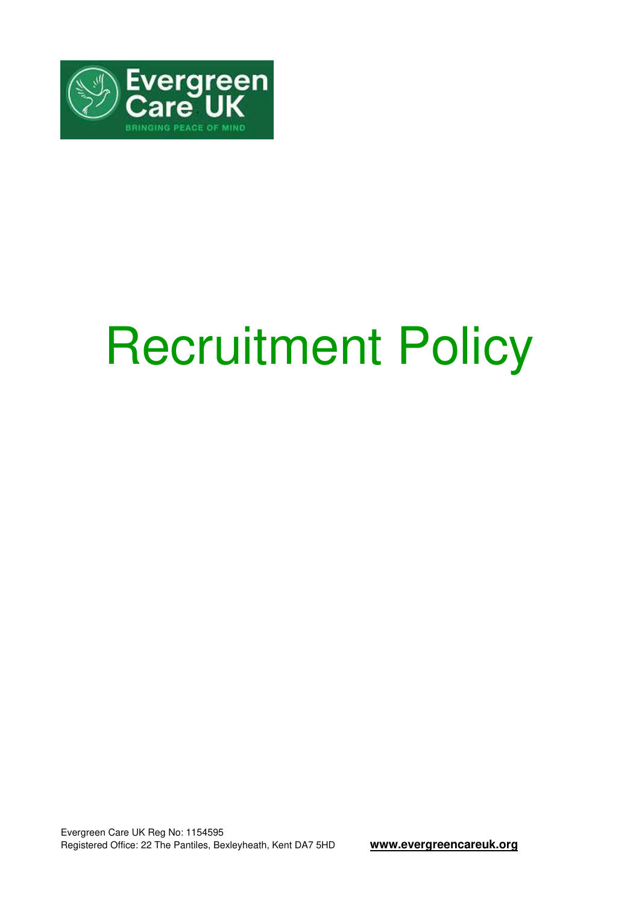

# Recruitment Policy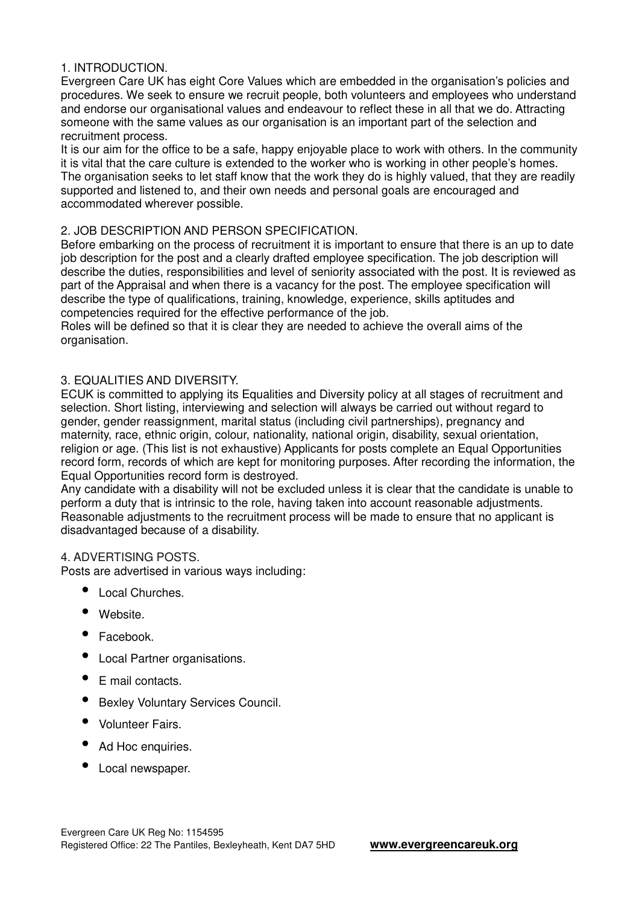# 1. INTRODUCTION.

Evergreen Care UK has eight Core Values which are embedded in the organisation's policies and procedures. We seek to ensure we recruit people, both volunteers and employees who understand and endorse our organisational values and endeavour to reflect these in all that we do. Attracting someone with the same values as our organisation is an important part of the selection and recruitment process.

It is our aim for the office to be a safe, happy enjoyable place to work with others. In the community it is vital that the care culture is extended to the worker who is working in other people's homes. The organisation seeks to let staff know that the work they do is highly valued, that they are readily supported and listened to, and their own needs and personal goals are encouraged and accommodated wherever possible.

# 2. JOB DESCRIPTION AND PERSON SPECIFICATION.

Before embarking on the process of recruitment it is important to ensure that there is an up to date job description for the post and a clearly drafted employee specification. The job description will describe the duties, responsibilities and level of seniority associated with the post. It is reviewed as part of the Appraisal and when there is a vacancy for the post. The employee specification will describe the type of qualifications, training, knowledge, experience, skills aptitudes and competencies required for the effective performance of the job.

Roles will be defined so that it is clear they are needed to achieve the overall aims of the organisation.

# 3. EQUALITIES AND DIVERSITY.

ECUK is committed to applying its Equalities and Diversity policy at all stages of recruitment and selection. Short listing, interviewing and selection will always be carried out without regard to gender, gender reassignment, marital status (including civil partnerships), pregnancy and maternity, race, ethnic origin, colour, nationality, national origin, disability, sexual orientation, religion or age. (This list is not exhaustive) Applicants for posts complete an Equal Opportunities record form, records of which are kept for monitoring purposes. After recording the information, the Equal Opportunities record form is destroyed.

Any candidate with a disability will not be excluded unless it is clear that the candidate is unable to perform a duty that is intrinsic to the role, having taken into account reasonable adjustments. Reasonable adjustments to the recruitment process will be made to ensure that no applicant is disadvantaged because of a disability.

#### 4. ADVERTISING POSTS.

Posts are advertised in various ways including:

- Local Churches.
- Website.
- Facebook.
- Local Partner organisations.
- E mail contacts.
- Bexley Voluntary Services Council.
- Volunteer Fairs.
- Ad Hoc enquiries.
- Local newspaper.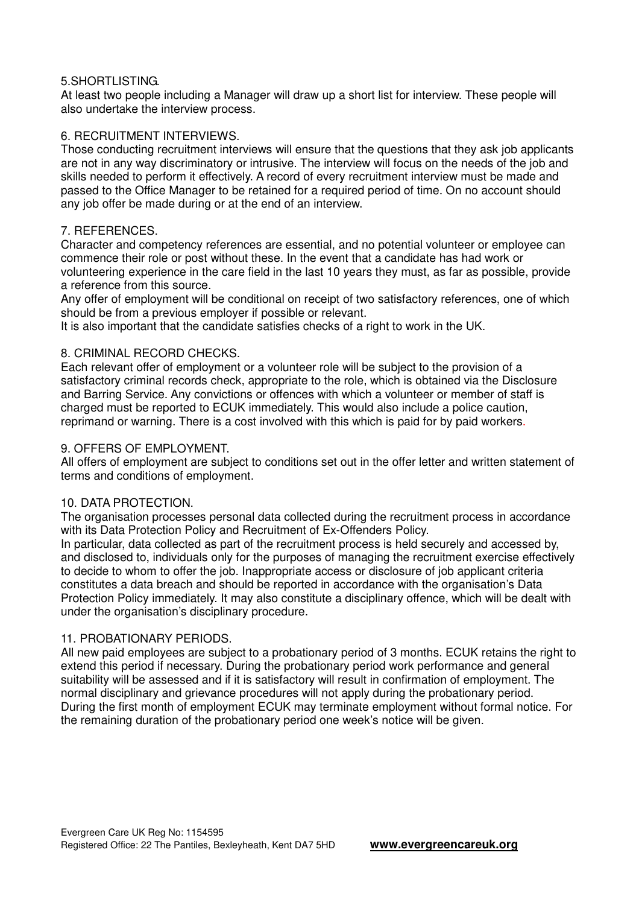#### 5.SHORTLISTING.

At least two people including a Manager will draw up a short list for interview. These people will also undertake the interview process.

# 6. RECRUITMENT INTERVIEWS.

Those conducting recruitment interviews will ensure that the questions that they ask job applicants are not in any way discriminatory or intrusive. The interview will focus on the needs of the job and skills needed to perform it effectively. A record of every recruitment interview must be made and passed to the Office Manager to be retained for a required period of time. On no account should any job offer be made during or at the end of an interview.

## 7. REFERENCES.

Character and competency references are essential, and no potential volunteer or employee can commence their role or post without these. In the event that a candidate has had work or volunteering experience in the care field in the last 10 years they must, as far as possible, provide a reference from this source.

Any offer of employment will be conditional on receipt of two satisfactory references, one of which should be from a previous employer if possible or relevant.

It is also important that the candidate satisfies checks of a right to work in the UK.

# 8. CRIMINAL RECORD CHECKS.

Each relevant offer of employment or a volunteer role will be subject to the provision of a satisfactory criminal records check, appropriate to the role, which is obtained via the Disclosure and Barring Service. Any convictions or offences with which a volunteer or member of staff is charged must be reported to ECUK immediately. This would also include a police caution, reprimand or warning. There is a cost involved with this which is paid for by paid workers.

#### 9. OFFERS OF EMPLOYMENT.

All offers of employment are subject to conditions set out in the offer letter and written statement of terms and conditions of employment.

#### 10. DATA PROTECTION.

The organisation processes personal data collected during the recruitment process in accordance with its Data Protection Policy and Recruitment of Ex-Offenders Policy.

In particular, data collected as part of the recruitment process is held securely and accessed by, and disclosed to, individuals only for the purposes of managing the recruitment exercise effectively to decide to whom to offer the job. Inappropriate access or disclosure of job applicant criteria constitutes a data breach and should be reported in accordance with the organisation's Data Protection Policy immediately. It may also constitute a disciplinary offence, which will be dealt with under the organisation's disciplinary procedure.

# 11. PROBATIONARY PERIODS.

All new paid employees are subject to a probationary period of 3 months. ECUK retains the right to extend this period if necessary. During the probationary period work performance and general suitability will be assessed and if it is satisfactory will result in confirmation of employment. The normal disciplinary and grievance procedures will not apply during the probationary period. During the first month of employment ECUK may terminate employment without formal notice. For the remaining duration of the probationary period one week's notice will be given.